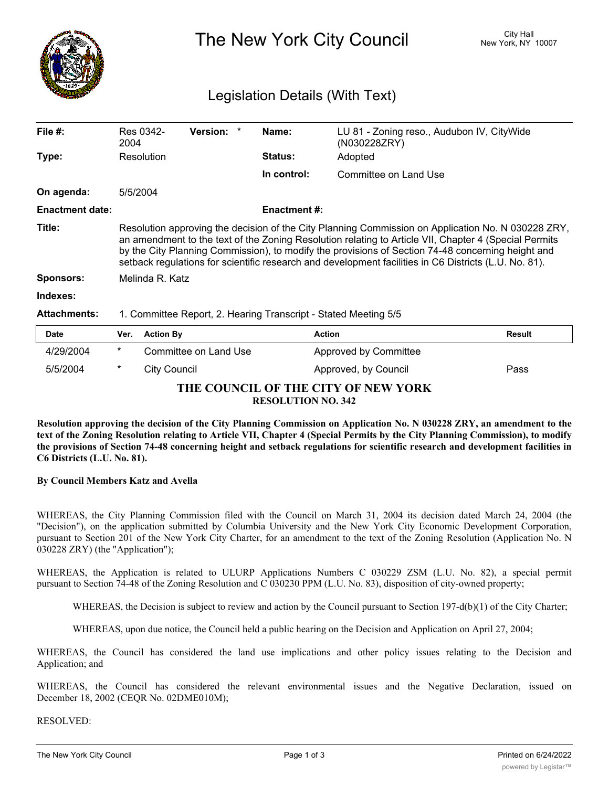

The New York City Council New York, NY 10007

# Legislation Details (With Text)

| File #:                | Res 0342-<br>2004                                                                                                                                                                                                                                                                                                                                                                                                         | <b>Version:</b>        | Name:               | LU 81 - Zoning reso., Audubon IV, CityWide<br>(N030228ZRY) |               |  |  |
|------------------------|---------------------------------------------------------------------------------------------------------------------------------------------------------------------------------------------------------------------------------------------------------------------------------------------------------------------------------------------------------------------------------------------------------------------------|------------------------|---------------------|------------------------------------------------------------|---------------|--|--|
| Type:                  | Resolution                                                                                                                                                                                                                                                                                                                                                                                                                |                        | <b>Status:</b>      | Adopted                                                    |               |  |  |
|                        |                                                                                                                                                                                                                                                                                                                                                                                                                           |                        | In control:         | Committee on Land Use                                      |               |  |  |
| On agenda:             | 5/5/2004                                                                                                                                                                                                                                                                                                                                                                                                                  |                        |                     |                                                            |               |  |  |
| <b>Enactment date:</b> |                                                                                                                                                                                                                                                                                                                                                                                                                           |                        | <b>Enactment #:</b> |                                                            |               |  |  |
| Title:                 | Resolution approving the decision of the City Planning Commission on Application No. N 030228 ZRY,<br>an amendment to the text of the Zoning Resolution relating to Article VII, Chapter 4 (Special Permits<br>by the City Planning Commission), to modify the provisions of Section 74-48 concerning height and<br>setback regulations for scientific research and development facilities in C6 Districts (L.U. No. 81). |                        |                     |                                                            |               |  |  |
| <b>Sponsors:</b>       | Melinda R. Katz                                                                                                                                                                                                                                                                                                                                                                                                           |                        |                     |                                                            |               |  |  |
| Indexes:               |                                                                                                                                                                                                                                                                                                                                                                                                                           |                        |                     |                                                            |               |  |  |
| <b>Attachments:</b>    | 1. Committee Report, 2. Hearing Transcript - Stated Meeting 5/5                                                                                                                                                                                                                                                                                                                                                           |                        |                     |                                                            |               |  |  |
| <b>Date</b>            | <b>Action By</b><br>Ver.                                                                                                                                                                                                                                                                                                                                                                                                  |                        |                     | <b>Action</b>                                              | <b>Result</b> |  |  |
| 10000001               | $\ast$                                                                                                                                                                                                                                                                                                                                                                                                                    | Committee on Lond Lloo |                     | Annrouad by Cammittan                                      |               |  |  |

| Dale                                                             |        | VEI. ACUUIDY          | ACUOIL                | resuit |  |  |  |
|------------------------------------------------------------------|--------|-----------------------|-----------------------|--------|--|--|--|
| 4/29/2004                                                        | $\ast$ | Committee on Land Use | Approved by Committee |        |  |  |  |
| 5/5/2004                                                         |        | City Council          | Approved, by Council  | Pass   |  |  |  |
| THE COUNCIL OF THE CITY OF NEW YORK<br><b>RESOLUTION NO. 342</b> |        |                       |                       |        |  |  |  |

Resolution approving the decision of the City Planning Commission on Application No. N 030228 ZRY, an amendment to the text of the Zoning Resolution relating to Article VII, Chapter 4 (Special Permits by the City Planning Commission), to modify the provisions of Section 74-48 concerning height and setback regulations for scientific research and development facilities in **C6 Districts (L.U. No. 81).**

# **By Council Members Katz and Avella**

WHEREAS, the City Planning Commission filed with the Council on March 31, 2004 its decision dated March 24, 2004 (the "Decision"), on the application submitted by Columbia University and the New York City Economic Development Corporation, pursuant to Section 201 of the New York City Charter, for an amendment to the text of the Zoning Resolution (Application No. N 030228 ZRY) (the "Application");

WHEREAS, the Application is related to ULURP Applications Numbers C 030229 ZSM (L.U. No. 82), a special permit pursuant to Section 74-48 of the Zoning Resolution and C 030230 PPM (L.U. No. 83), disposition of city-owned property;

WHEREAS, the Decision is subject to review and action by the Council pursuant to Section 197-d(b)(1) of the City Charter;

WHEREAS, upon due notice, the Council held a public hearing on the Decision and Application on April 27, 2004;

WHEREAS, the Council has considered the land use implications and other policy issues relating to the Decision and Application; and

WHEREAS, the Council has considered the relevant environmental issues and the Negative Declaration, issued on December 18, 2002 (CEQR No. 02DME010M);

# RESOLVED: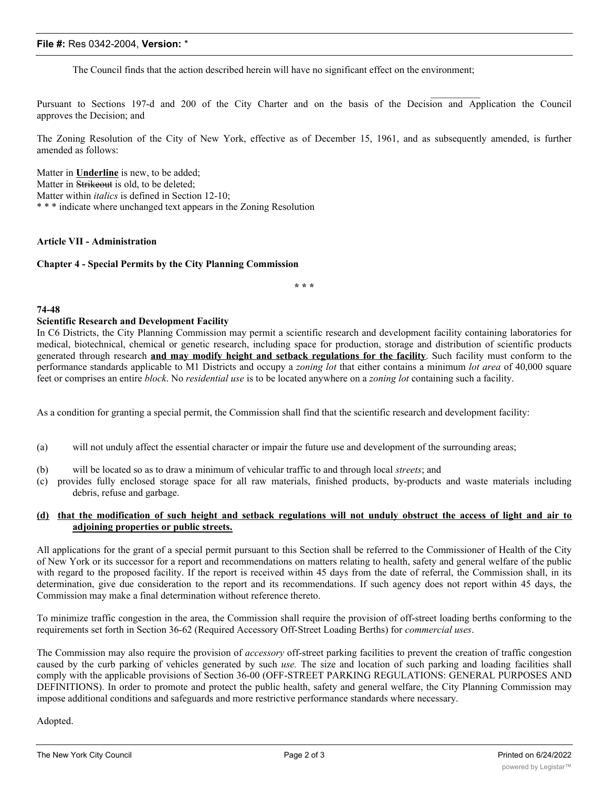## **File #:** Res 0342-2004, **Version:** \*

The Council finds that the action described herein will have no significant effect on the environment;

Pursuant to Sections 197-d and 200 of the City Charter and on the basis of the Decision and Application the Council approves the Decision; and

 $\frac{1}{2}$ 

The Zoning Resolution of the City of New York, effective as of December 15, 1961, and as subsequently amended, is further amended as follows:

Matter in **Underline** is new, to be added; Matter in Strikeout is old, to be deleted; Matter within *italics* is defined in Section 12-10; \* \* \* indicate where unchanged text appears in the Zoning Resolution

#### **Article VII - Administration**

#### **Chapter 4 - Special Permits by the City Planning Commission**

**\* \* \***

#### **74-48**

#### **Scientific Research and Development Facility**

In C6 Districts, the City Planning Commission may permit a scientific research and development facility containing laboratories for medical, biotechnical, chemical or genetic research, including space for production, storage and distribution of scientific products generated through research **and may modify height and setback regulations for the facility**. Such facility must conform to the performance standards applicable to M1 Districts and occupy a *zoning lot* that either contains a minimum *lot area* of 40,000 square feet or comprises an entire *block*. No *residential use* is to be located anywhere on a *zoning lot* containing such a facility.

As a condition for granting a special permit, the Commission shall find that the scientific research and development facility:

- (a) will not unduly affect the essential character or impair the future use and development of the surrounding areas;
- (b) will be located so as to draw a minimum of vehicular traffic to and through local *streets*; and
- (c) provides fully enclosed storage space for all raw materials, finished products, by-products and waste materials including debris, refuse and garbage.

## (d) that the modification of such height and setback regulations will not unduly obstruct the access of light and air to **adjoining properties or public streets.**

All applications for the grant of a special permit pursuant to this Section shall be referred to the Commissioner of Health of the City of New York or its successor for a report and recommendations on matters relating to health, safety and general welfare of the public with regard to the proposed facility. If the report is received within 45 days from the date of referral, the Commission shall, in its determination, give due consideration to the report and its recommendations. If such agency does not report within 45 days, the Commission may make a final determination without reference thereto.

To minimize traffic congestion in the area, the Commission shall require the provision of off-street loading berths conforming to the requirements set forth in Section 36-62 (Required Accessory Off-Street Loading Berths) for *commercial uses*.

The Commission may also require the provision of *accessory* off-street parking facilities to prevent the creation of traffic congestion caused by the curb parking of vehicles generated by such *use.* The size and location of such parking and loading facilities shall comply with the applicable provisions of Section 36-00 (OFF-STREET PARKING REGULATIONS: GENERAL PURPOSES AND DEFINITIONS). In order to promote and protect the public health, safety and general welfare, the City Planning Commission may impose additional conditions and safeguards and more restrictive performance standards where necessary.

Adopted.